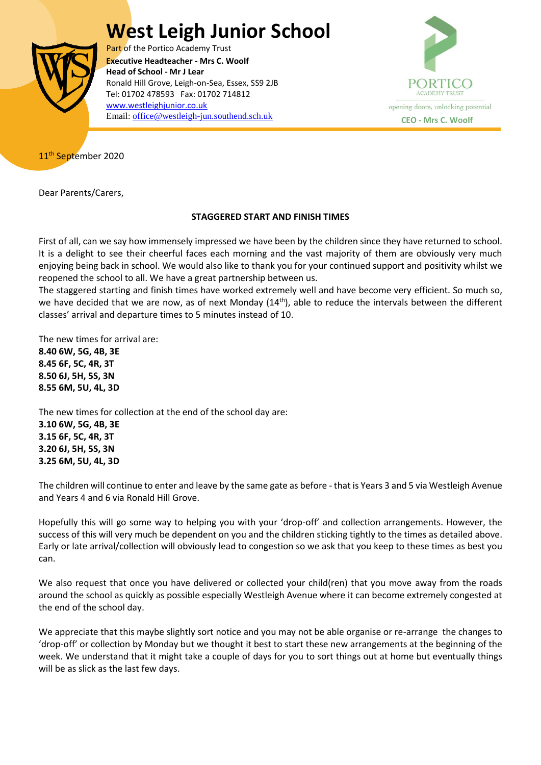## **West Leigh Junior School**



Part of the Portico Academy Trust  Ronald Hill Grove, Leigh-on-Sea, Essex, SS9 2JB **Executive Headteacher - Mrs C. Woolf Head of School - Mr J Lear** Tel: 01702 478593 Fax: 01702 714812 [www.westleighjunior.co.uk](http://www.westleighjunior.co.uk/) Email: [office@westleigh-jun.southend.sch.uk](mailto:office@westleigh-jun.southend.sch.uk) **CEO** - Mrs C. Woolf



11<sup>th</sup> September 2020

Dear Parents/Carers,

## **STAGGERED START AND FINISH TIMES**

First of all, can we say how immensely impressed we have been by the children since they have returned to school. It is a delight to see their cheerful faces each morning and the vast majority of them are obviously very much enjoying being back in school. We would also like to thank you for your continued support and positivity whilst we reopened the school to all. We have a great partnership between us.

The staggered starting and finish times have worked extremely well and have become very efficient. So much so, we have decided that we are now, as of next Monday (14<sup>th</sup>), able to reduce the intervals between the different classes' arrival and departure times to 5 minutes instead of 10.

The new times for arrival are: **8.40 6W, 5G, 4B, 3E 8.45 6F, 5C, 4R, 3T 8.50 6J, 5H, 5S, 3N 8.55 6M, 5U, 4L, 3D**

The new times for collection at the end of the school day are: **3.10 6W, 5G, 4B, 3E 3.15 6F, 5C, 4R, 3T 3.20 6J, 5H, 5S, 3N 3.25 6M, 5U, 4L, 3D**

The children will continue to enter and leave by the same gate as before - that is Years 3 and 5 via Westleigh Avenue and Years 4 and 6 via Ronald Hill Grove.

Hopefully this will go some way to helping you with your 'drop-off' and collection arrangements. However, the success of this will very much be dependent on you and the children sticking tightly to the times as detailed above. Early or late arrival/collection will obviously lead to congestion so we ask that you keep to these times as best you can.

We also request that once you have delivered or collected your child(ren) that you move away from the roads around the school as quickly as possible especially Westleigh Avenue where it can become extremely congested at the end of the school day.

We appreciate that this maybe slightly sort notice and you may not be able organise or re-arrange the changes to 'drop-off' or collection by Monday but we thought it best to start these new arrangements at the beginning of the week. We understand that it might take a couple of days for you to sort things out at home but eventually things will be as slick as the last few days.